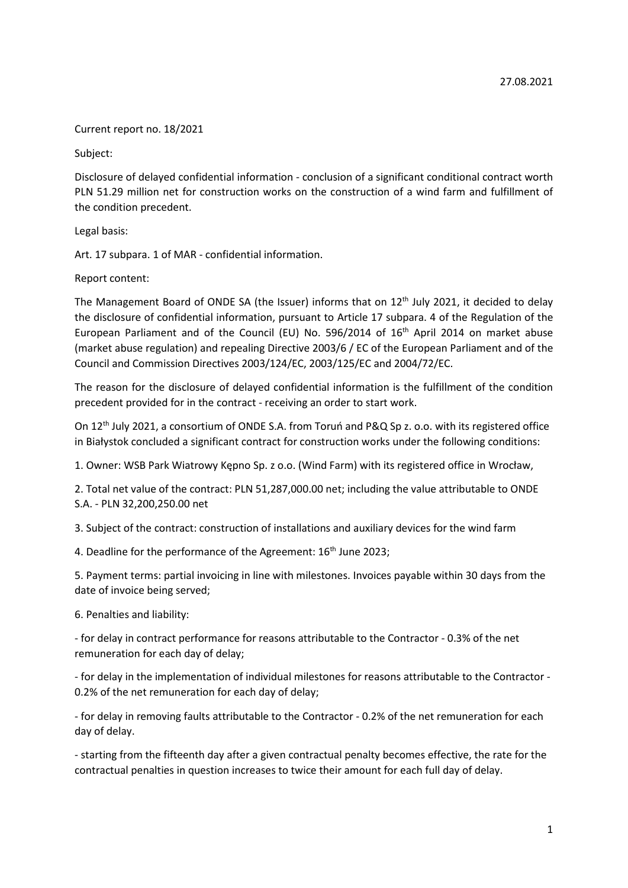Current report no. 18/2021

Subject:

Disclosure of delayed confidential information - conclusion of a significant conditional contract worth PLN 51.29 million net for construction works on the construction of a wind farm and fulfillment of the condition precedent.

Legal basis:

Art. 17 subpara. 1 of MAR - confidential information.

Report content:

The Management Board of ONDE SA (the Issuer) informs that on  $12<sup>th</sup>$  July 2021, it decided to delay the disclosure of confidential information, pursuant to Article 17 subpara. 4 of the Regulation of the European Parliament and of the Council (EU) No. 596/2014 of 16<sup>th</sup> April 2014 on market abuse (market abuse regulation) and repealing Directive 2003/6 / EC of the European Parliament and of the Council and Commission Directives 2003/124/EC, 2003/125/EC and 2004/72/EC.

The reason for the disclosure of delayed confidential information is the fulfillment of the condition precedent provided for in the contract - receiving an order to start work.

On 12th July 2021, a consortium of ONDE S.A. from Toruń and P&Q Sp z. o.o. with its registered office in Białystok concluded a significant contract for construction works under the following conditions:

1. Owner: WSB Park Wiatrowy Kępno Sp. z o.o. (Wind Farm) with its registered office in Wrocław,

2. Total net value of the contract: PLN 51,287,000.00 net; including the value attributable to ONDE S.A. - PLN 32,200,250.00 net

3. Subject of the contract: construction of installations and auxiliary devices for the wind farm

4. Deadline for the performance of the Agreement: 16<sup>th</sup> June 2023;

5. Payment terms: partial invoicing in line with milestones. Invoices payable within 30 days from the date of invoice being served;

6. Penalties and liability:

- for delay in contract performance for reasons attributable to the Contractor - 0.3% of the net remuneration for each day of delay;

- for delay in the implementation of individual milestones for reasons attributable to the Contractor - 0.2% of the net remuneration for each day of delay;

- for delay in removing faults attributable to the Contractor - 0.2% of the net remuneration for each day of delay.

- starting from the fifteenth day after a given contractual penalty becomes effective, the rate for the contractual penalties in question increases to twice their amount for each full day of delay.